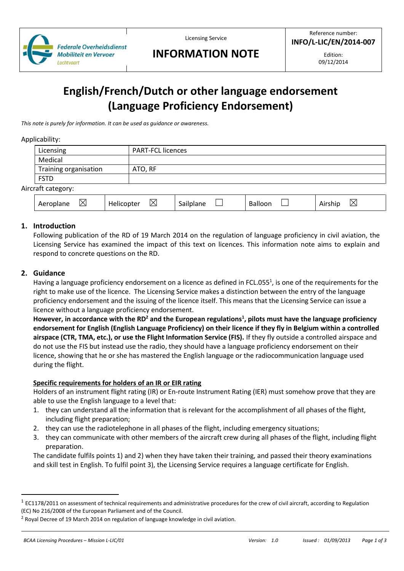

Licensing Service

# **INFORMATION NOTE**

Edition: 09/12/2014

# **English/French/Dutch or other language endorsement (Language Proficiency Endorsement)**

*This note is purely for information. It can be used as guidance or awareness.*

#### Applicability:

Air

| Licensing                |                 | <b>PART-FCL licences</b> |         |                        |  |
|--------------------------|-----------------|--------------------------|---------|------------------------|--|
| Medical                  |                 |                          |         |                        |  |
| Training organisation    | ATO, RF         |                          |         |                        |  |
| <b>FSTD</b>              |                 |                          |         |                        |  |
| craft category:          |                 |                          |         |                        |  |
| $\boxtimes$<br>Aeroplane | ⊠<br>Helicopter | Sailplane                | Balloon | $\boxtimes$<br>Airship |  |

# **1. Introduction**

Following publication of the RD of 19 March 2014 on the regulation of language proficiency in civil aviation, the Licensing Service has examined the impact of this text on licences. This information note aims to explain and respond to concrete questions on the RD.

# **2. Guidance**

Having a language proficiency endorsement on a licence as defined in FCL.055<sup>1</sup>, is one of the requirements for the right to make use of the licence. The Licensing Service makes a distinction between the entry of the language proficiency endorsement and the issuing of the licence itself. This means that the Licensing Service can issue a licence without a language proficiency endorsement.

**However, in accordance with the RD<sup>2</sup> and the European regulations<sup>1</sup> , pilots must have the language proficiency endorsement for English (English Language Proficiency) on their licence if they fly in Belgium within a controlled airspace (CTR, TMA, etc.), or use the Flight Information Service (FIS).** If they fly outside a controlled airspace and do not use the FIS but instead use the radio, they should have a language proficiency endorsement on their licence, showing that he or she has mastered the English language or the radiocommunication language used during the flight.

#### **Specific requirements for holders of an IR or EIR rating**

Holders of an instrument flight rating (IR) or En-route Instrument Rating (IER) must somehow prove that they are able to use the English language to a level that:

- 1. they can understand all the information that is relevant for the accomplishment of all phases of the flight, including flight preparation;
- 2. they can use the radiotelephone in all phases of the flight, including emergency situations;
- 3. they can communicate with other members of the aircraft crew during all phases of the flight, including flight preparation.

The candidate fulfils points 1) and 2) when they have taken their training, and passed their theory examinations and skill test in English. To fulfil point 3), the Licensing Service requires a language certificate for English.

 $\overline{\phantom{a}}$ 

 $^1$  EC1178/2011 on assessment of technical requirements and administrative procedures for the crew of civil aircraft, according to Regulation (EC) No 216/2008 of the European Parliament and of the Council.

 $2$  Royal Decree of 19 March 2014 on regulation of language knowledge in civil aviation.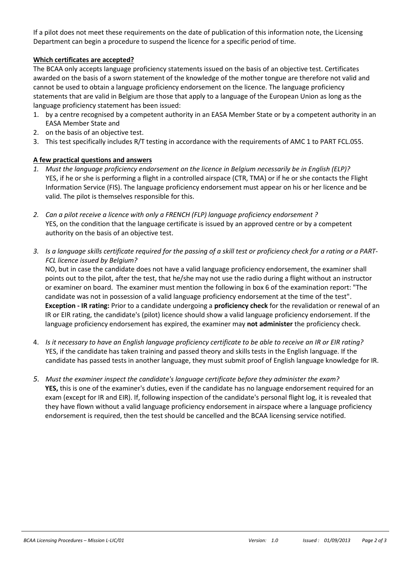If a pilot does not meet these requirements on the date of publication of this information note, the Licensing Department can begin a procedure to suspend the licence for a specific period of time.

### **Which certificates are accepted?**

The BCAA only accepts language proficiency statements issued on the basis of an objective test. Certificates awarded on the basis of a sworn statement of the knowledge of the mother tongue are therefore not valid and cannot be used to obtain a language proficiency endorsement on the licence. The language proficiency statements that are valid in Belgium are those that apply to a language of the European Union as long as the language proficiency statement has been issued:

- 1. by a centre recognised by a competent authority in an EASA Member State or by a competent authority in an EASA Member State and
- 2. on the basis of an objective test.
- 3. This test specifically includes R/T testing in accordance with the requirements of AMC 1 to PART FCL.055.

### **A few practical questions and answers**

- *1. Must the language proficiency endorsement on the licence in Belgium necessarily be in English (ELP)?*  YES, if he or she is performing a flight in a controlled airspace (CTR, TMA) or if he or she contacts the Flight Information Service (FIS). The language proficiency endorsement must appear on his or her licence and be valid. The pilot is themselves responsible for this.
- *2. Can a pilot receive a licence with only a FRENCH (FLP) language proficiency endorsement ?*  YES, on the condition that the language certificate is issued by an approved centre or by a competent authority on the basis of an objective test.
- *3. Is a language skills certificate required for the passing of a skill test or proficiency check for a rating or a PART-FCL licence issued by Belgium?*

NO, but in case the candidate does not have a valid language proficiency endorsement, the examiner shall points out to the pilot, after the test, that he/she may not use the radio during a flight without an instructor or examiner on board. The examiner must mention the following in box 6 of the examination report: "The candidate was not in possession of a valid language proficiency endorsement at the time of the test". **Exception - IR rating:** Prior to a candidate undergoing a **proficiency check** for the revalidation or renewal of an IR or EIR rating, the candidate's (pilot) licence should show a valid language proficiency endorsement. If the language proficiency endorsement has expired, the examiner may **not administer** the proficiency check.

- 4. *Is it necessary to have an English language proficiency certificate to be able to receive an IR or EIR rating?* YES, if the candidate has taken training and passed theory and skills tests in the English language. If the candidate has passed tests in another language, they must submit proof of English language knowledge for IR.
- *5. Must the examiner inspect the candidate's language certificate before they administer the exam?* **YES,** this is one of the examiner's duties, even if the candidate has no language endorsement required for an exam (except for IR and EIR). If, following inspection of the candidate's personal flight log, it is revealed that they have flown without a valid language proficiency endorsement in airspace where a language proficiency endorsement is required, then the test should be cancelled and the BCAA licensing service notified.